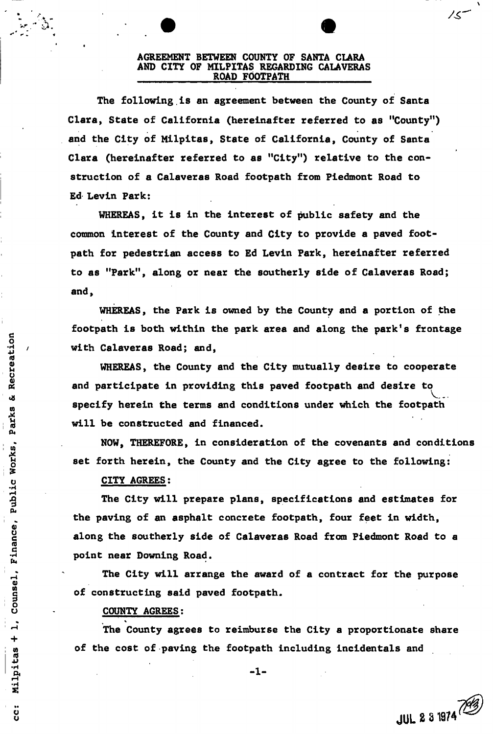#### **AGREEMENT BETWEEN COUNTY OF SANTA CLARA AND CITY OF MIL PITAS REGARDING CALAVERAS ROAD FOOTPATH**

**The following, is an agreement between the County of Santa Clara, State of California (hereinafter referred to as ''County'<sup>1</sup>) and the City of Milpitas, State of California, County of Santa Clara (hereinafter referred to as "City") relative to the construction of a Calaveras Road footpath from Piedmont Road to Ed Levin Park:** 

**WHEREAS, it is in the interest of public safety and the common interest of the County and City to provide a paved footpath for pedestrian access to Ed Levin Park, hereinafter referred to as "Park", along or near the southerly side of Calaveras Road; and,** 

**WHEREAS, the Park is owned by the County and a portion of the footpath is both within the park area and along the park's frontage with Calaveras Road; and,** 

**WHEREAS, the County and the City mutually desire to cooperate and participate in providing this paved footpath and desire to specify herein the terms and conditions under which the footpath will be constructed and financed.** 

**NOW, THEREFORE, in consideration of the covenants and conditions set forth herein, the County and the City agree to the following:** 

## **CITY AGREES:**

Recreation

ø

Parks

Counsel, Finance, Public Works,

 $\mathbf{I}$ 

Milpitas +

i<br>C

**The City will prepare plans, specifications and estimates for the paving of an asphalt concrete footpath, four feet in width, along the southerly side of Calaveras Road from Piedmont Road to a point near Downing Road.** 

**The City will arrange the award of a contract for the purpose of constructing said paved footpath.** 

#### **COUNTY AGREES:**

**The County agrees to reimburse the City a proportionate share of the cost of paving the footpath including incidentals and** 

 $-1 -$ 

**JUL 2 S1974** 

ノく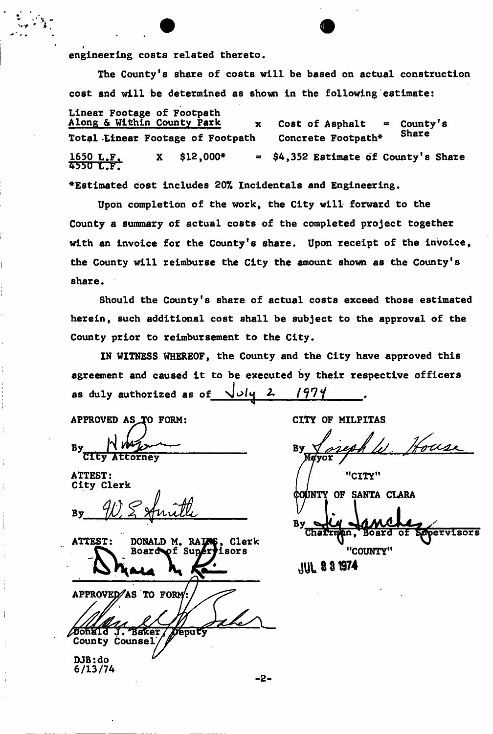**engineering costs related thereto.** 

**The County's share of costs will be based on actual construction cost and will be determined as shown in the following estimate:** 

Total Linear Footage of Footpath Concrete Footpath\* **1650 L.F. X \$12,000\* - \$4,352 Estimate of County's Share 4bM) UV l ^Estimated cost includes 20% Incidentals and Engineering. Linear Footage of Footpath**  Along & Within County Park<br> **x** Cost of Asphalt = County's **Share** 

**Upon completion of the work, the City will forward to the County a summary of actual costs of the completed project together with an invoice for the County's share. Upon receipt of the invoice, the County will reimburse the City the amount shown as the County's share.** 

**Should the County's share of actual costs exceed those estimated herein, such additional cost shall be subject to the approval of the County prior to reimbursement to the City.** 

**IN WITNESS WHEREOF, the County and the City have approved this agreement and caused it to be executed by their respective officers**  as duly authorized as of  $\sqrt{u^2 + 2}$ 

APPROVED AS TO FORM: By CIty Attorney

**ATTEST:** City Clerk



CITY OF MILPITAS

House By "CITY"

COUNTY OF SANTA CLARA By Charrman, SAPETVISOTS "COUNTY"

**JUL 23 1974**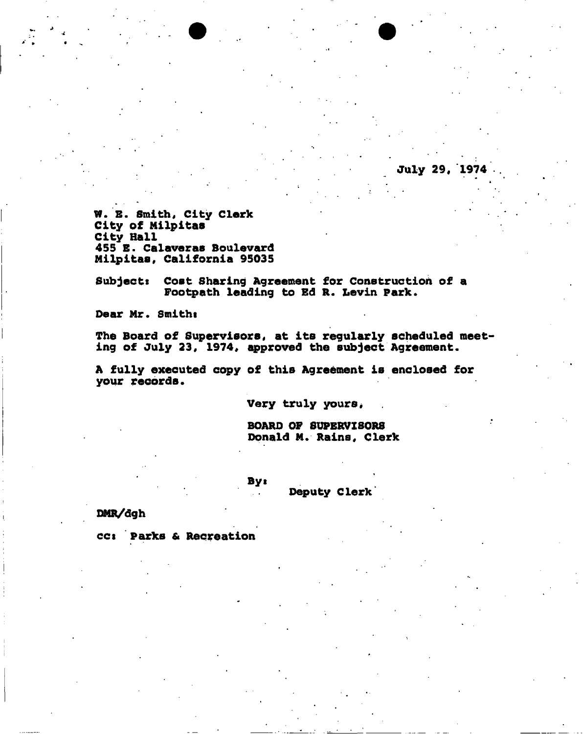**W. E. Smith, City Clerk City of Milpitas City Hall 455 B. Calaveras Boulevard Milpitas, California 95035** 

**Subjects Cost Sharing Agreement for Construction of a Footpath leading to Ed R. Levin Park.** 

**Dear Mr. Smithi** 

**The Board of Supervisors, at its regularly scheduled meet ing of July 23, 1974, approved the subject Agreement.** 

**A fully executed copy of this Agreement is enclosed for your records.** 

**Very truly yours,** 

**BOARD OP SUPERVISORS Donald M. Rains, Clerk** 

**July 29, 1974** 

**By«** 

**Deputy Clerk'** 

**DMR/dgh** 

**cci Parks & Recreation**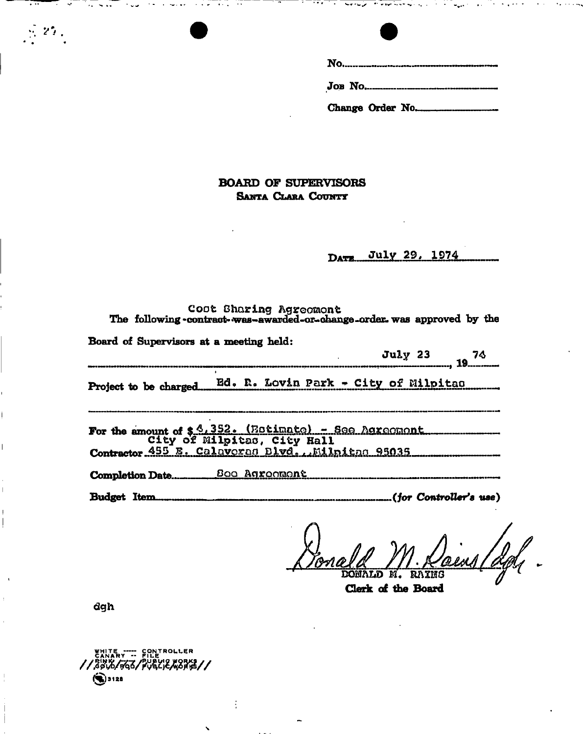|   | ۰. |
|---|----|
| I |    |
|   | ٧  |
|   | v  |
|   |    |

|  | Change Order No. |
|--|------------------|

## BOARD OF SUPERVISORS SANTA CLARA COUNTY

DATE July 29, 1974

| Cost Sharing Agreement<br>The following -contract-was-awarded-or-change-order was approved by the |
|---------------------------------------------------------------------------------------------------|
| Board of Supervisors at a meeting held:                                                           |
| July 23 74                                                                                        |
| Project to be charged Ed. R. Lovin Park - City of Milpitan                                        |
| For the amount of \$ 4,352. (Estimate) - See Agreement<br>City of Milpitas, City Hall             |
| Contractor 455 E. Calaveras Blvd., Milnitho 95035                                                 |
|                                                                                                   |
| Budget Item                                                                                       |

M. Dainy / def . DONALD M. RAING

dgh

 $\lesssim 25$  .

WHITE ---- CONTROLLER  $\odot$ 3128

 $\vdots$